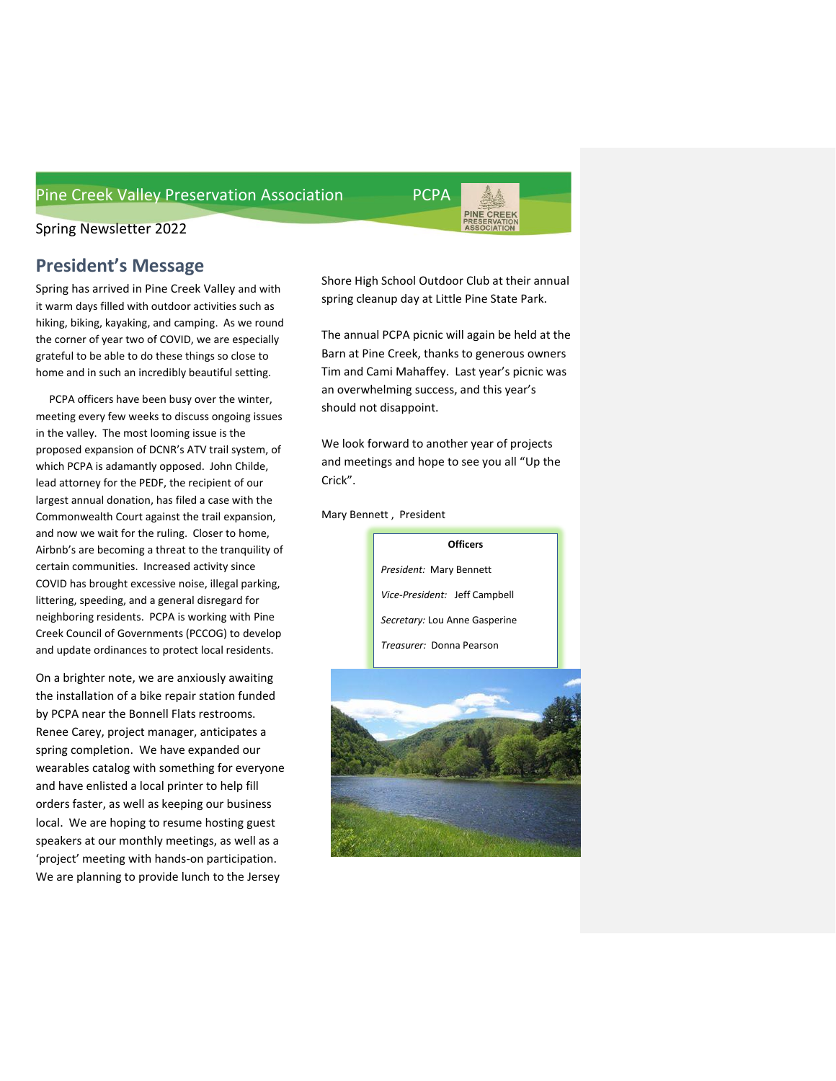

## Spring Newsletter 2022

## **President's Message**

Spring has arrived in Pine Creek Valley and with it warm days filled with outdoor activities such as hiking, biking, kayaking, and camping. As we round the corner of year two of COVID, we are especially grateful to be able to do these things so close to home and in such an incredibly beautiful setting.

 PCPA officers have been busy over the winter, meeting every few weeks to discuss ongoing issues in the valley. The most looming issue is the proposed expansion of DCNR's ATV trail system, of which PCPA is adamantly opposed. John Childe, lead attorney for the PEDF, the recipient of our largest annual donation, has filed a case with the Commonwealth Court against the trail expansion, and now we wait for the ruling. Closer to home, Airbnb's are becoming a threat to the tranquility of certain communities. Increased activity since COVID has brought excessive noise, illegal parking, littering, speeding, and a general disregard for neighboring residents. PCPA is working with Pine Creek Council of Governments (PCCOG) to develop and update ordinances to protect local residents.

On a brighter note, we are anxiously awaiting the installation of a bike repair station funded by PCPA near the Bonnell Flats restrooms. Renee Carey, project manager, anticipates a spring completion. We have expanded our wearables catalog with something for everyone and have enlisted a local printer to help fill orders faster, as well as keeping our business local. We are hoping to resume hosting guest speakers at our monthly meetings, as well as a 'project' meeting with hands-on participation. We are planning to provide lunch to the Jersey

Shore High School Outdoor Club at their annual spring cleanup day at Little Pine State Park.

The annual PCPA picnic will again be held at the Barn at Pine Creek, thanks to generous owners Tim and Cami Mahaffey. Last year's picnic was an overwhelming success, and this year's should not disappoint.

We look forward to another year of projects and meetings and hope to see you all "Up the Crick".

Mary Bennett , President



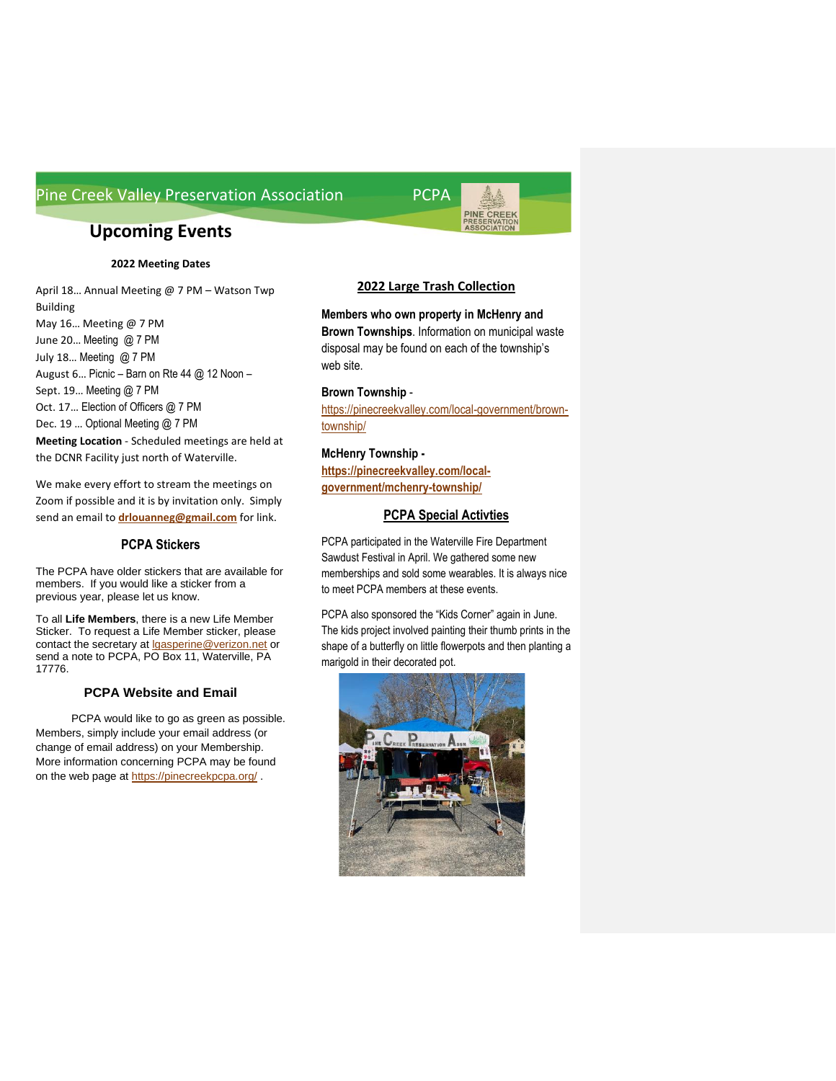# **Upcoming Events**

#### **2022 Meeting Dates**

April 18… Annual Meeting @ 7 PM – Watson Twp Building May 16… Meeting @ 7 PM June 20… Meeting @ 7 PM July 18… Meeting @ 7 PM August 6… Picnic – Barn on Rte 44 @ 12 Noon – Sept. 19... Meeting @ 7 PM Oct. 17… Election of Officers @ 7 PM Dec. 19 … Optional Meeting @ 7 PM **Meeting Location** - Scheduled meetings are held at the DCNR Facility just north of Waterville.

We make every effort to stream the meetings on Zoom if possible and it is by invitation only. Simply send an email to **[drlouanneg@gmail.com](mailto:drlouanneg@gmail.com)** for link.

#### **PCPA Stickers**

The PCPA have older stickers that are available for members. If you would like a sticker from a previous year, please let us know.

To all **Life Members**, there is a new Life Member Sticker. To request a Life Member sticker, please contact the secretary at **lgasperine@verizon.net** or send a note to PCPA, PO Box 11, Waterville, PA 17776.

#### **PCPA Website and Email**

PCPA would like to go as green as possible. Members, simply include your email address (or change of email address) on your Membership. More information concerning PCPA may be found on the web page at<https://pinecreekpcpa.org/> .

#### **2022 Large Trash Collection**

PINE CREEK<br>PRESERVATION<br>ASSOCIATION

**Members who own property in McHenry and Brown Townships**. Information on municipal waste disposal may be found on each of the township's web site.

#### **Brown Township** -

[https://pinecreekvalley.com/local-government/brown](https://pinecreekvalley.com/local-government/brown-township/)[township/](https://pinecreekvalley.com/local-government/brown-township/)

#### **McHenry Township -**

**[https://pinecreekvalley.com/local](https://pinecreekvalley.com/local-government/mchenry-township/)[government/mchenry-township/](https://pinecreekvalley.com/local-government/mchenry-township/)**

#### **PCPA Special Activties**

PCPA participated in the Waterville Fire Department Sawdust Festival in April. We gathered some new memberships and sold some wearables. It is always nice to meet PCPA members at these events.

PCPA also sponsored the "Kids Corner" again in June. The kids project involved painting their thumb prints in the shape of a butterfly on little flowerpots and then planting a marigold in their decorated pot.

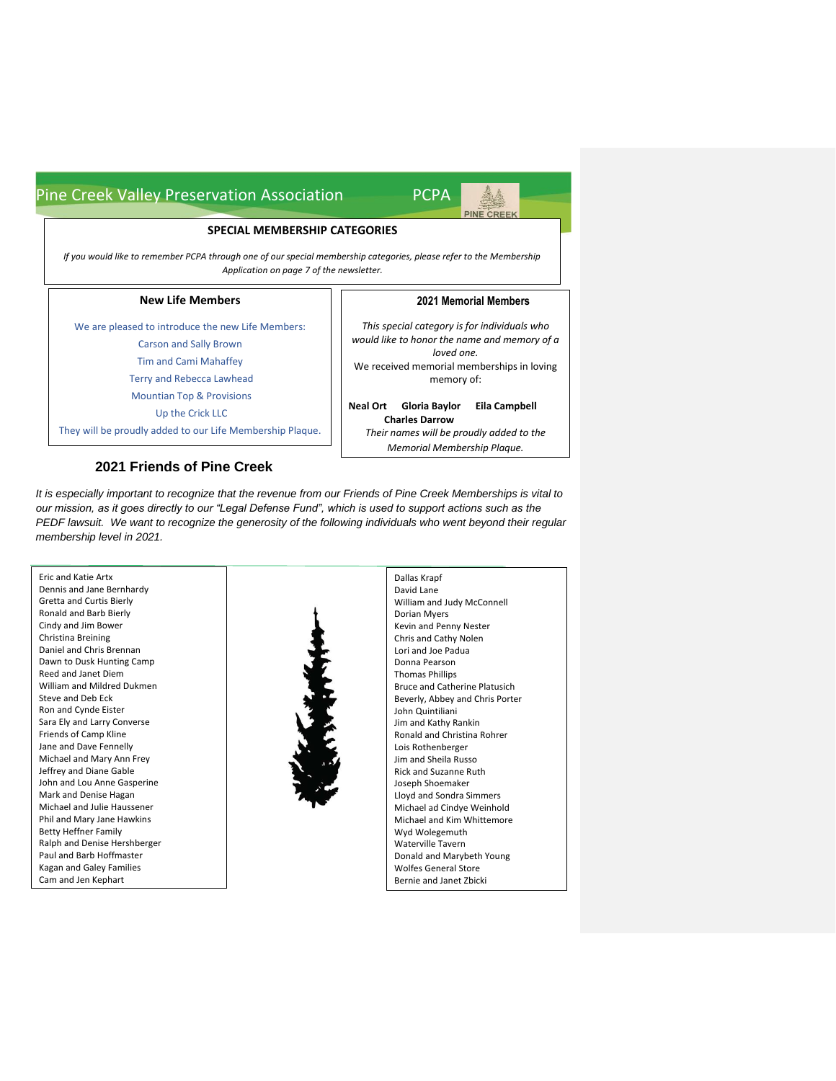#### **SPECIAL MEMBERSHIP CATEGORIES**

*If you would like to remember PCPA through one of our special membership categories, please refer to the Membership Application on page 7 of the newsletter.*

#### **New Life Members**

We are pleased to introduce the new Life Members:

Carson and Sally Brown Tim and Cami Mahaffey

Terry and Rebecca Lawhead

Mountian Top & Provisions

Up the Crick LLC

They will be proudly added to our Life Membership Plaque.

#### **2021 Friends of Pine Creek**

## **2021 Memorial Members**

**PINE CREEK** 

*This special category is for individuals who would like to honor the name and memory of a loved one.* We received memorial memberships in loving memory of:

**Neal Ort Gloria Baylor Eila Campbell Charles Darrow** *Their names will be proudly added to the Memorial Membership Plaque.*

Dallas Krapf

*It is especially important to recognize that the revenue from our Friends of Pine Creek Memberships is vital to our mission, as it goes directly to our "Legal Defense Fund", which is used to support actions such as the PEDF lawsuit. We want to recognize the generosity of the following individuals who went beyond their regular membership level in 2021.*

Eric and Katie Artx Dennis and Jane Bernhardy Gretta and Curtis Bierly Ronald and Barb Bierly Cindy and Jim Bower Christina Breining Daniel and Chris Brennan Dawn to Dusk Hunting Camp Reed and Janet Diem William and Mildred Dukmen Steve and Deb Eck Ron and Cynde Eister Sara Ely and Larry Converse Friends of Camp Kline Jane and Dave Fennelly Michael and Mary Ann Frey Jeffrey and Diane Gable John and Lou Anne Gasperine Mark and Denise Hagan Michael and Julie Haussener Phil and Mary Jane Hawkins Betty Heffner Family Ralph and Denise Hershberger Paul and Barb Hoffmaster Kagan and Galey Families Cam and Jen Kephart



David Lane William and Judy McConnell Dorian Myers Kevin and Penny Nester Chris and Cathy Nolen Lori and Joe Padua Donna Pearson Thomas Phillips Bruce and Catherine Platusich Beverly, Abbey and Chris Porter John Quintiliani Jim and Kathy Rankin Ronald and Christina Rohrer Lois Rothenberger Jim and Sheila Russo Rick and Suzanne Ruth Joseph Shoemaker Lloyd and Sondra Simmers Michael ad Cindye Weinhold Michael and Kim Whittemore Wyd Wolegemuth Waterville Tavern Donald and Marybeth Young Wolfes General Store Bernie and Janet Zbicki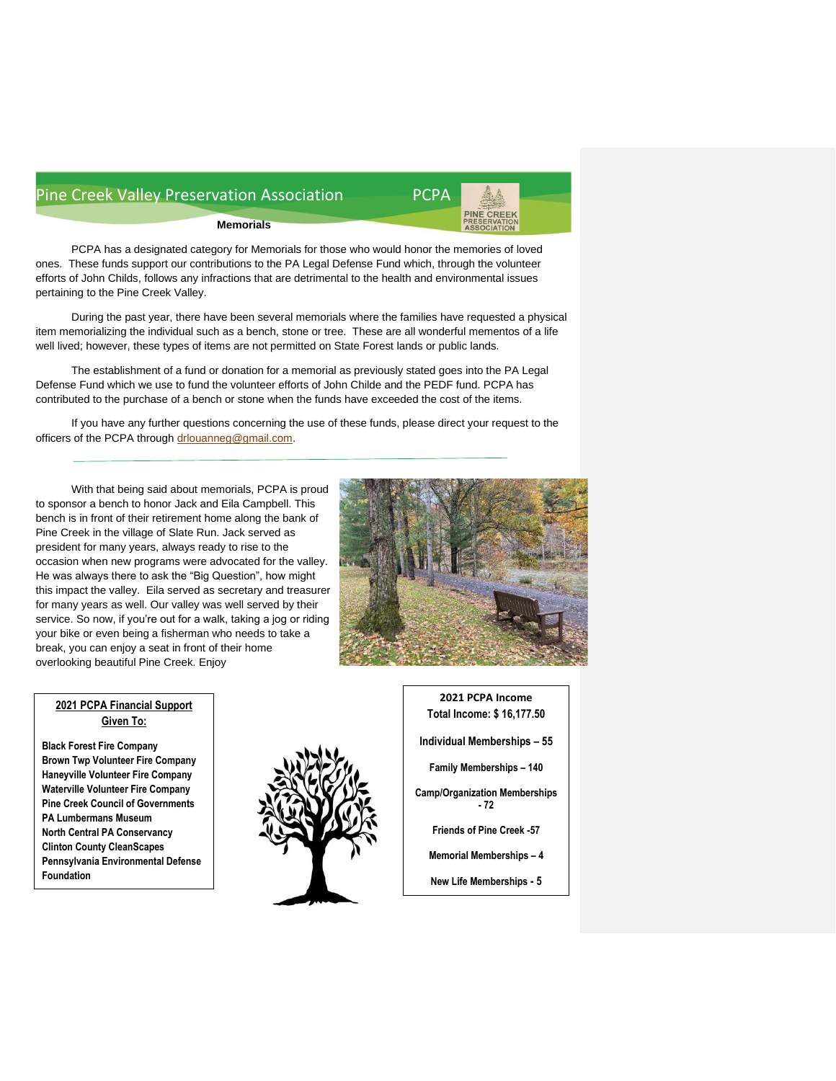

**Memorials**

PCPA has a designated category for Memorials for those who would honor the memories of loved ones. These funds support our contributions to the PA Legal Defense Fund which, through the volunteer efforts of John Childs, follows any infractions that are detrimental to the health and environmental issues pertaining to the Pine Creek Valley.

During the past year, there have been several memorials where the families have requested a physical item memorializing the individual such as a bench, stone or tree. These are all wonderful mementos of a life well lived; however, these types of items are not permitted on State Forest lands or public lands.

The establishment of a fund or donation for a memorial as previously stated goes into the PA Legal Defense Fund which we use to fund the volunteer efforts of John Childe and the PEDF fund. PCPA has contributed to the purchase of a bench or stone when the funds have exceeded the cost of the items.

If you have any further questions concerning the use of these funds, please direct your request to the officers of the PCPA through [drlouanneg@gmail.com.](mailto:drlouanneg@gmail.com)

With that being said about memorials, PCPA is proud to sponsor a bench to honor Jack and Eila Campbell. This bench is in front of their retirement home along the bank of Pine Creek in the village of Slate Run. Jack served as president for many years, always ready to rise to the occasion when new programs were advocated for the valley. He was always there to ask the "Big Question", how might this impact the valley. Eila served as secretary and treasurer for many years as well. Our valley was well served by their service. So now, if you're out for a walk, taking a jog or riding your bike or even being a fisherman who needs to take a break, you can enjoy a seat in front of their home overlooking beautiful Pine Creek. Enjoy



### **2021 PCPA Financial Support Given To:**

**Black Forest Fire Company Brown Twp Volunteer Fire Company Haneyville Volunteer Fire Company Waterville Volunteer Fire Company Pine Creek Council of Governments PA Lumbermans Museum North Central PA Conservancy Clinton County CleanScapes Pennsylvania Environmental Defense Foundation**



**2021 PCPA Income Total Income: \$ 16,177.50 Individual Memberships – 55 Family Memberships – 140 Camp/Organization Memberships - 72 Friends of Pine Creek -57 Memorial Memberships – 4 New Life Memberships - 5**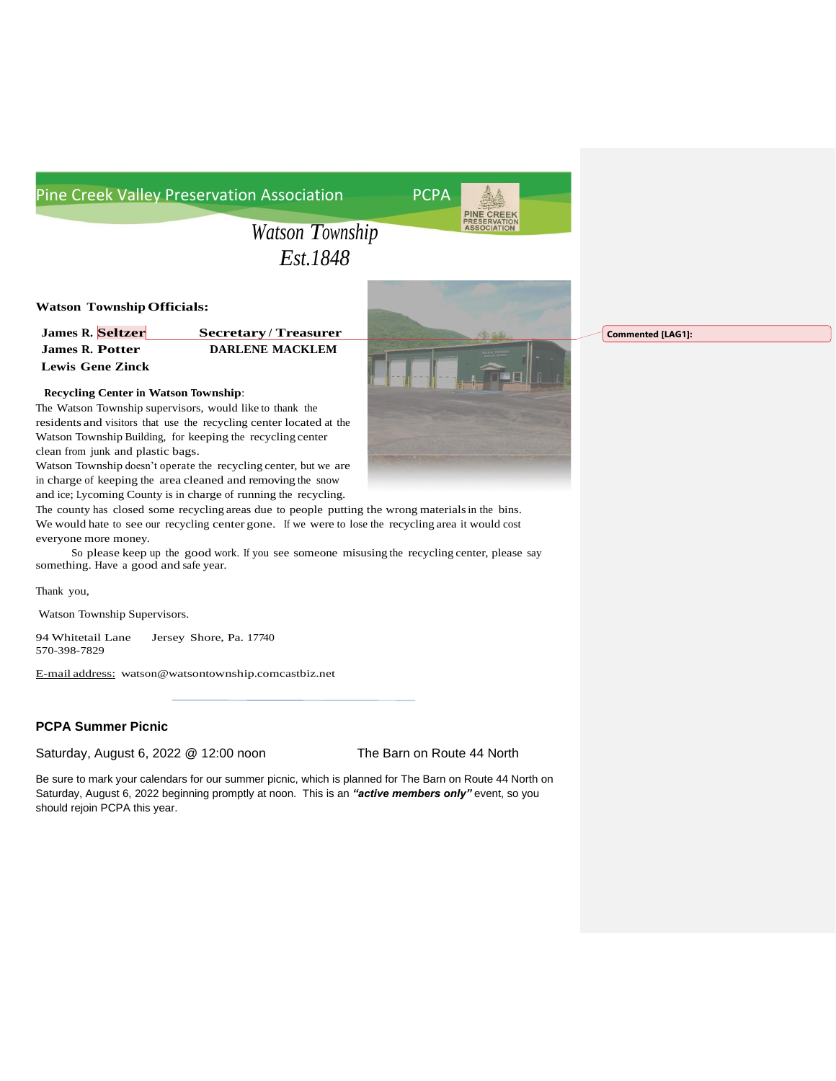

*Watson Township Est.1848*

#### **Watson TownshipOfficials:**

| <b>James R. Seltzer</b> | <b>Secretary/Treasurer</b> |
|-------------------------|----------------------------|
| <b>James R. Potter</b>  | <b>DARLENE MACKLEM</b>     |
| <b>Lewis Gene Zinck</b> |                            |



The Watson Township supervisors, would like to thank the residents and visitors that use the recycling center located at the Watson Township Building, for keeping the recycling center clean from junk and plastic bags.

Watson Township doesn't operate the recycling center, but we are in charge of keeping the area cleaned and removing the snow and ice; Lycoming County is in charge of running the recycling.

The county has closed some recycling areas due to people putting the wrong materialsin the bins. We would hate to see our recycling center gone. If we were to lose the recycling area it would cost everyone more money.

So please keep up the good work. If you see someone misusing the recycling center, please say something. Have a good and safe year.

Thank you,

Watson Township Supervisors.

94 Whitetail Lane Jersey Shore, Pa. 17740 570-398-7829

E-mail address: [watson@watsontownship.comcastbiz.net](mailto:watson@watsontownship.comcastbiz.net)

#### **PCPA Summer Picnic**

Saturday, August 6, 2022 @ 12:00 noon The Barn on Route 44 North

Be sure to mark your calendars for our summer picnic, which is planned for The Barn on Route 44 North on Saturday, August 6, 2022 beginning promptly at noon. This is an "active members only" event, so you should rejoin PCPA this year.

**Commented [LAG1]:**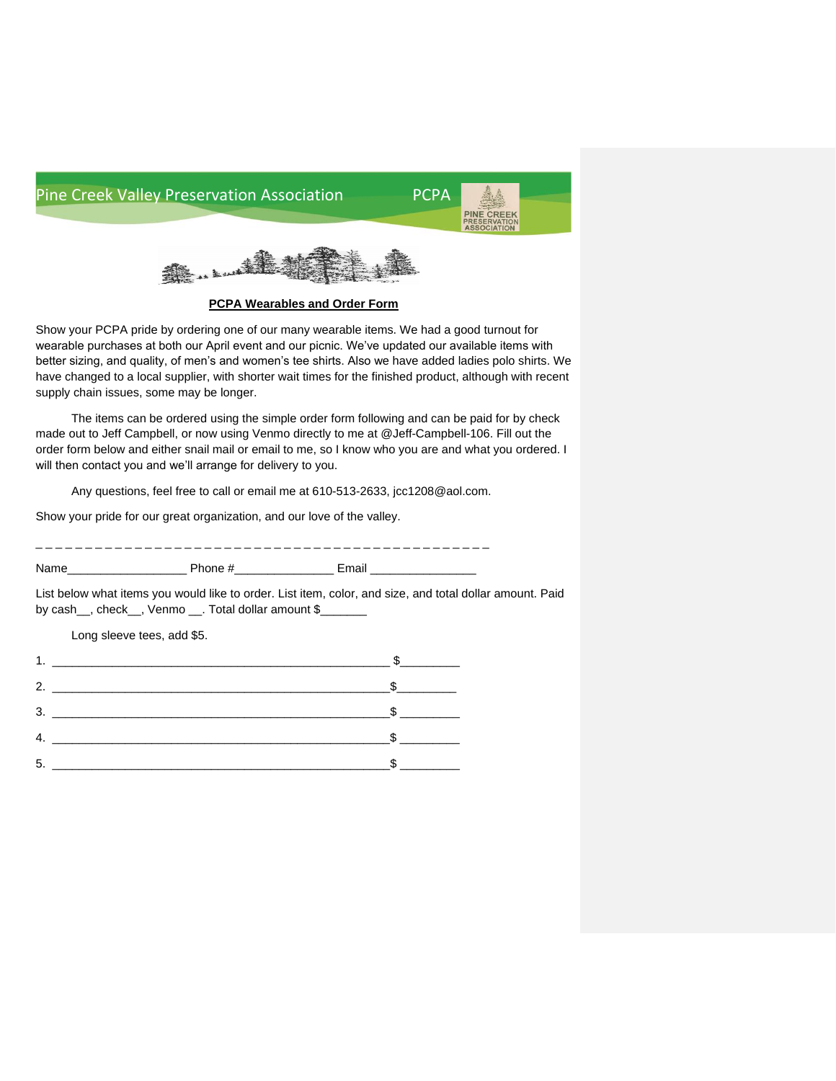



**PCPA Wearables and Order Form**

Show your PCPA pride by ordering one of our many wearable items. We had a good turnout for wearable purchases at both our April event and our picnic. We've updated our available items with better sizing, and quality, of men's and women's tee shirts. Also we have added ladies polo shirts. We have changed to a local supplier, with shorter wait times for the finished product, although with recent supply chain issues, some may be longer.

The items can be ordered using the simple order form following and can be paid for by check made out to Jeff Campbell, or now using Venmo directly to me at @Jeff-Campbell-106. Fill out the order form below and either snail mail or email to me, so I know who you are and what you ordered. I will then contact you and we'll arrange for delivery to you.

Any questions, feel free to call or email me at 610-513-2633, jcc1208@aol.com.

Show your pride for our great organization, and our love of the valley.

\_ \_ \_ \_ \_ \_ \_ \_ \_ \_ \_ \_ \_ \_ \_ \_ \_ \_ \_ \_ \_ \_ \_ \_ \_ \_ \_ \_ \_ \_ \_ \_ \_ \_ \_ \_ \_ \_ \_ \_ \_ \_ \_ \_ \_ \_ Name\_\_\_\_\_\_\_\_\_\_\_\_\_\_\_\_\_\_ Phone #\_\_\_\_\_\_\_\_\_\_\_\_\_\_\_ Email \_\_\_\_\_\_\_\_\_\_\_\_\_\_\_\_

List below what items you would like to order. List item, color, and size, and total dollar amount. Paid by cash\_, check\_, Venmo \_\_. Total dollar amount \$\_

Long sleeve tees, add \$5.

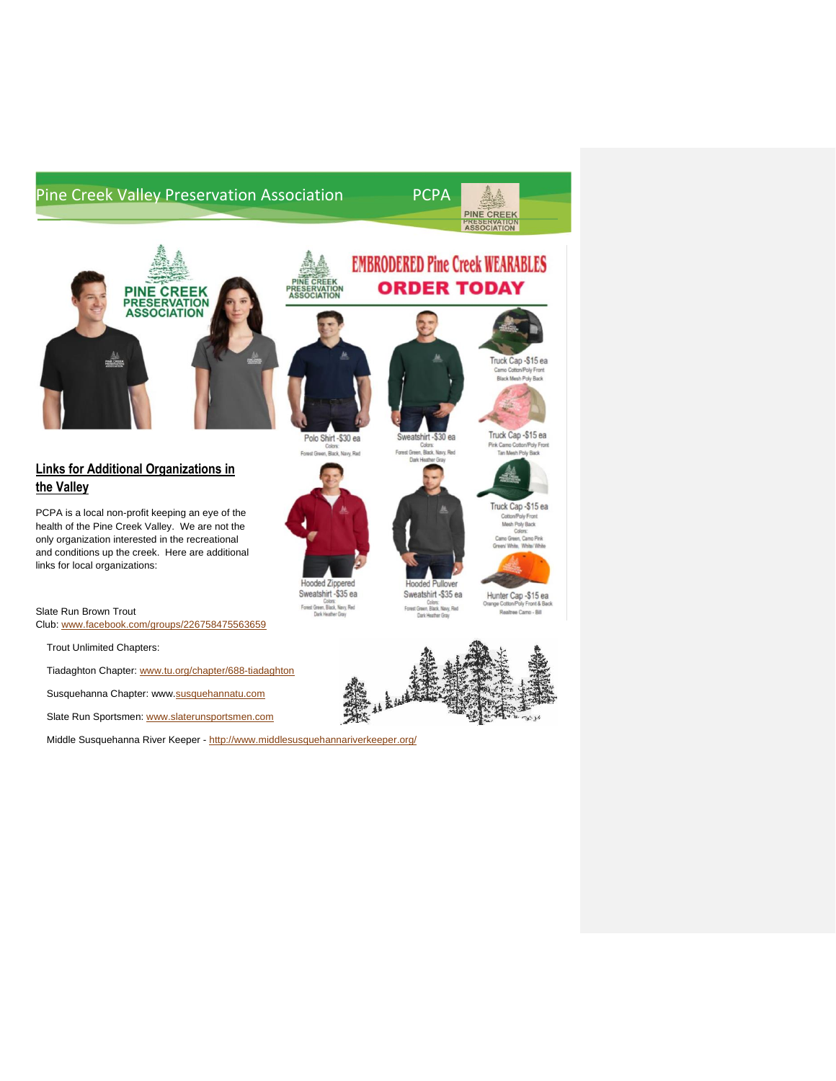

**EMBRODERED Pine Creek WEARABLES** 

**ORDER TODAY** 

Sweatshirt -\$30 ea

Rack 1

Col



## **Links for Additional Organizations in the Valley**

PCPA is a local non-profit keeping an eye of the health of the Pine Creek Valley. We are not the only organization interested in the recreational and conditions up the creek. Here are additional links for local organizations:

#### Slate Run Brown Trout

Club: [www.facebook.com/groups/226758475563659](http://www.facebook.com/groups/226758475563659)

Trout Unlimited Chapters:

- Tiadaghton Chapter: [www.tu.org/chapter/688-tiadaghton](http://www.tu.org/chapter/688-tiadaghton)
- Susquehanna Chapter: www[.susquehannatu.com](http://susquehannatu.com/)

Slate Run Sportsmen: [www.slaterunsportsmen.com](http://www.slaterunsportsmen.com/)

Middle Susquehanna River Keeper - <http://www.middlesusquehannariverkeeper.org/>



PINE CREEK<br>PRESERVATION<br>ASSOCIATION





Sweatshirt -\$35 ea Colors:<br>Forest Green, Black, Navy, Red<br>Dark Heather Gray



Hunter Cap -\$15 ea Orange Cotton/Poly Front & Back Realtree Camp - Bill

Truck Cap -\$15 ea Camo Cotto Black Mesh Poly Back

Truck Cap -\$15 ea

Tan Mesh Poly Rank

Truck Cap -\$15 ea Cotton/Poly Front Mesh Poly Back reen, Camo Pink hite, White/White

Pink Camo Co

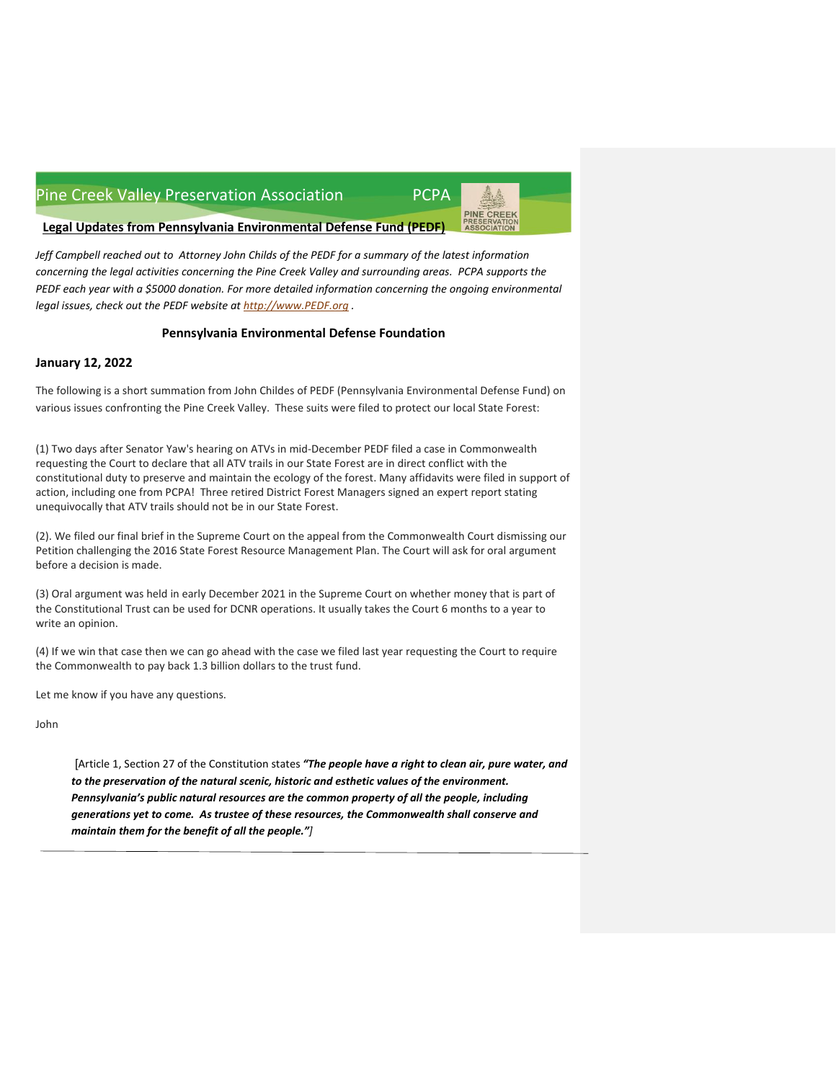

**Legal Updates from Pennsylvania Environmental Defense Fund (PEDF)**

*Jeff Campbell reached out to Attorney John Childs of the PEDF for a summary of the latest information concerning the legal activities concerning the Pine Creek Valley and surrounding areas. PCPA supports the PEDF each year with a \$5000 donation. For more detailed information concerning the ongoing environmental legal issues, check out the PEDF website at [http://www.PEDF.org](http://www.pedf.org/) .*

#### **Pennsylvania Environmental Defense Foundation**

#### **January 12, 2022**

The following is a short summation from John Childes of PEDF (Pennsylvania Environmental Defense Fund) on various issues confronting the Pine Creek Valley. These suits were filed to protect our local State Forest:

(1) Two days after Senator Yaw's hearing on ATVs in mid-December PEDF filed a case in Commonwealth requesting the Court to declare that all ATV trails in our State Forest are in direct conflict with the constitutional duty to preserve and maintain the ecology of the forest. Many affidavits were filed in support of action, including one from PCPA! Three retired District Forest Managers signed an expert report stating unequivocally that ATV trails should not be in our State Forest.

(2). We filed our final brief in the Supreme Court on the appeal from the Commonwealth Court dismissing our Petition challenging the 2016 State Forest Resource Management Plan. The Court will ask for oral argument before a decision is made.

(3) Oral argument was held in early December 2021 in the Supreme Court on whether money that is part of the Constitutional Trust can be used for DCNR operations. It usually takes the Court 6 months to a year to write an opinion.

(4) If we win that case then we can go ahead with the case we filed last year requesting the Court to require the Commonwealth to pay back 1.3 billion dollars to the trust fund.

Let me know if you have any questions.

John

[Article 1, Section 27 of the Constitution states *"The people have a right to clean air, pure water, and to the preservation of the natural scenic, historic and esthetic values of the environment. Pennsylvania's public natural resources are the common property of all the people, including generations yet to come. As trustee of these resources, the Commonwealth shall conserve and maintain them for the benefit of all the people."]*